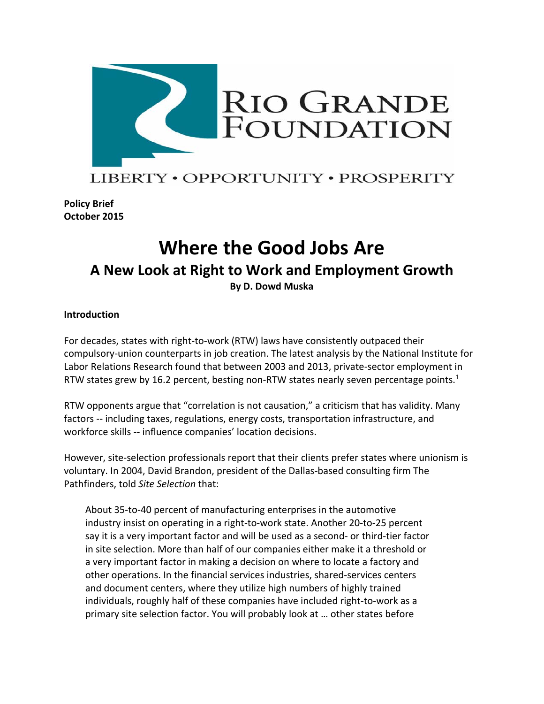

# LIBERTY • OPPORTUNITY • PROSPERITY

**Policy Brief October 2015**

# **Where the Good Jobs Are A New Look at Right to Work and Employment Growth By D. Dowd Muska**

### **Introduction**

For decades, states with right-to-work (RTW) laws have consistently outpaced their compulsory-union counterparts in job creation. The latest analysis by the National Institute for Labor Relations Research found that between 2003 and 2013, private-sector employment in RTW states grew by 16.2 percent, besting non-RTW states nearly seven percentage points.<sup>1</sup>

RTW opponents argue that "correlation is not causation," a criticism that has validity. Many factors -- including taxes, regulations, energy costs, transportation infrastructure, and workforce skills -- influence companies' location decisions.

However, site-selection professionals report that their clients prefer states where unionism is voluntary. In 2004, David Brandon, president of the Dallas-based consulting firm The Pathfinders, told *Site Selection* that:

About 35-to-40 percent of manufacturing enterprises in the automotive industry insist on operating in a right-to-work state. Another 20-to-25 percent say it is a very important factor and will be used as a second- or third-tier factor in site selection. More than half of our companies either make it a threshold or a very important factor in making a decision on where to locate a factory and other operations. In the financial services industries, shared-services centers and document centers, where they utilize high numbers of highly trained individuals, roughly half of these companies have included right-to-work as a primary site selection factor. You will probably look at … other states before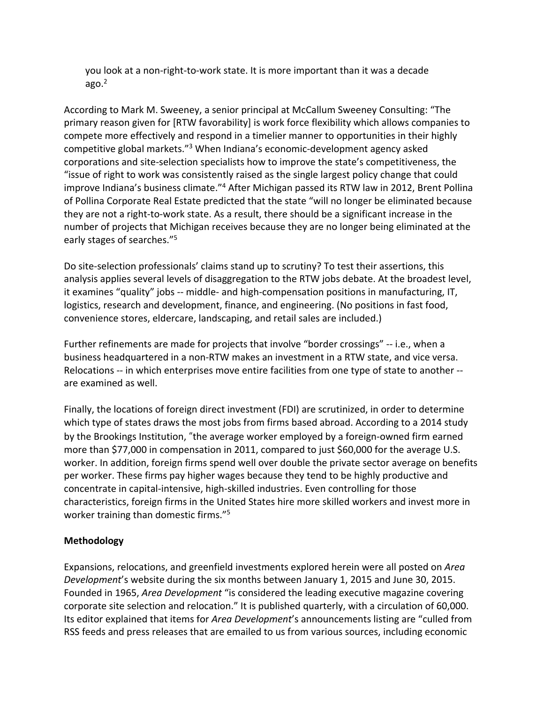you look at a non-right-to-work state. It is more important than it was a decade ago. $2$ 

According to Mark M. Sweeney, a senior principal at McCallum Sweeney Consulting: "The primary reason given for [RTW favorability] is work force flexibility which allows companies to compete more effectively and respond in a timelier manner to opportunities in their highly competitive global markets."3 When Indiana's economic-development agency asked corporations and site-selection specialists how to improve the state's competitiveness, the "issue of right to work was consistently raised as the single largest policy change that could improve Indiana's business climate."4 After Michigan passed its RTW law in 2012, Brent Pollina of Pollina Corporate Real Estate predicted that the state "will no longer be eliminated because they are not a right-to-work state. As a result, there should be a significant increase in the number of projects that Michigan receives because they are no longer being eliminated at the early stages of searches."5

Do site-selection professionals' claims stand up to scrutiny? To test their assertions, this analysis applies several levels of disaggregation to the RTW jobs debate. At the broadest level, it examines "quality" jobs -- middle- and high-compensation positions in manufacturing, IT, logistics, research and development, finance, and engineering. (No positions in fast food, convenience stores, eldercare, landscaping, and retail sales are included.)

Further refinements are made for projects that involve "border crossings" -- i.e., when a business headquartered in a non-RTW makes an investment in a RTW state, and vice versa. Relocations -- in which enterprises move entire facilities from one type of state to another - are examined as well.

Finally, the locations of foreign direct investment (FDI) are scrutinized, in order to determine which type of states draws the most jobs from firms based abroad. According to a 2014 study by the Brookings Institution, "the average worker employed by a foreign-owned firm earned more than \$77,000 in compensation in 2011, compared to just \$60,000 for the average U.S. worker. In addition, foreign firms spend well over double the private sector average on benefits per worker. These firms pay higher wages because they tend to be highly productive and concentrate in capital-intensive, high-skilled industries. Even controlling for those characteristics, foreign firms in the United States hire more skilled workers and invest more in worker training than domestic firms."<sup>5</sup>

# **Methodology**

Expansions, relocations, and greenfield investments explored herein were all posted on *Area Development*'s website during the six months between January 1, 2015 and June 30, 2015. Founded in 1965, *Area Development* "is considered the leading executive magazine covering corporate site selection and relocation." It is published quarterly, with a circulation of 60,000. Its editor explained that items for *Area Development*'s announcements listing are "culled from RSS feeds and press releases that are emailed to us from various sources, including economic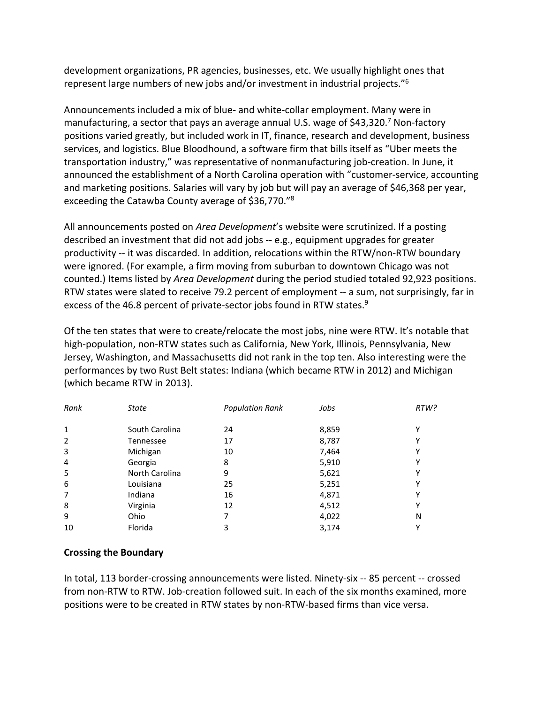development organizations, PR agencies, businesses, etc. We usually highlight ones that represent large numbers of new jobs and/or investment in industrial projects."6

Announcements included a mix of blue- and white-collar employment. Many were in manufacturing, a sector that pays an average annual U.S. wage of \$43,320.<sup>7</sup> Non-factory positions varied greatly, but included work in IT, finance, research and development, business services, and logistics. Blue Bloodhound, a software firm that bills itself as "Uber meets the transportation industry," was representative of nonmanufacturing job-creation. In June, it announced the establishment of a North Carolina operation with "customer-service, accounting and marketing positions. Salaries will vary by job but will pay an average of \$46,368 per year, exceeding the Catawba County average of \$36,770."8

All announcements posted on *Area Development*'s website were scrutinized. If a posting described an investment that did not add jobs -- e.g., equipment upgrades for greater productivity -- it was discarded. In addition, relocations within the RTW/non-RTW boundary were ignored. (For example, a firm moving from suburban to downtown Chicago was not counted.) Items listed by *Area Development* during the period studied totaled 92,923 positions. RTW states were slated to receive 79.2 percent of employment -- a sum, not surprisingly, far in excess of the 46.8 percent of private-sector jobs found in RTW states.<sup>9</sup>

Of the ten states that were to create/relocate the most jobs, nine were RTW. It's notable that high-population, non-RTW states such as California, New York, Illinois, Pennsylvania, New Jersey, Washington, and Massachusetts did not rank in the top ten. Also interesting were the performances by two Rust Belt states: Indiana (which became RTW in 2012) and Michigan (which became RTW in 2013).

| Rank           | State          | <b>Population Rank</b> | Jobs  | RTW? |
|----------------|----------------|------------------------|-------|------|
| 1              | South Carolina | 24                     | 8,859 | v    |
| $\overline{2}$ | Tennessee      | 17                     | 8,787 | Y    |
| 3              | Michigan       | 10                     | 7,464 | Y    |
| 4              | Georgia        | 8                      | 5,910 | Υ    |
| 5              | North Carolina | 9                      | 5,621 | Υ    |
| 6              | Louisiana      | 25                     | 5,251 | Υ    |
| 7              | Indiana        | 16                     | 4,871 | Y    |
| 8              | Virginia       | 12                     | 4,512 | v    |
| 9              | Ohio           | 7                      | 4,022 | N    |
| 10             | Florida        | 3                      | 3,174 |      |

# **Crossing the Boundary**

In total, 113 border-crossing announcements were listed. Ninety-six -- 85 percent -- crossed from non-RTW to RTW. Job-creation followed suit. In each of the six months examined, more positions were to be created in RTW states by non-RTW-based firms than vice versa.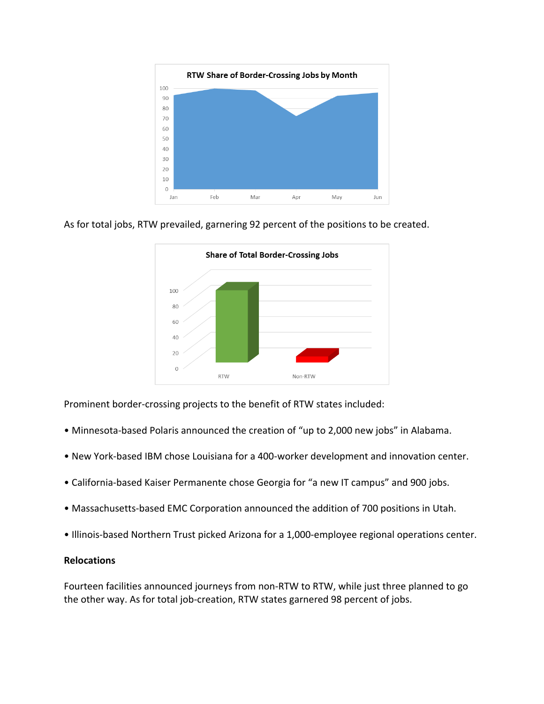

As for total jobs, RTW prevailed, garnering 92 percent of the positions to be created.



Prominent border-crossing projects to the benefit of RTW states included:

- Minnesota-based Polaris announced the creation of "up to 2,000 new jobs" in Alabama.
- New York-based IBM chose Louisiana for a 400-worker development and innovation center.
- California-based Kaiser Permanente chose Georgia for "a new IT campus" and 900 jobs.
- Massachusetts-based EMC Corporation announced the addition of 700 positions in Utah.
- Illinois-based Northern Trust picked Arizona for a 1,000-employee regional operations center.

#### **Relocations**

Fourteen facilities announced journeys from non-RTW to RTW, while just three planned to go the other way. As for total job-creation, RTW states garnered 98 percent of jobs.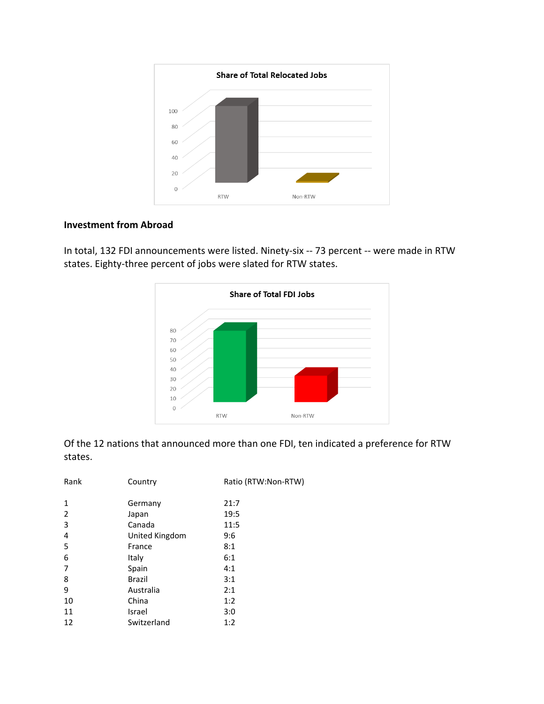

#### **Investment from Abroad**



In total, 132 FDI announcements were listed. Ninety-six -- 73 percent -- were made in RTW states. Eighty-three percent of jobs were slated for RTW states.

Of the 12 nations that announced more than one FDI, ten indicated a preference for RTW states.

| Rank | Country        | Ratio (RTW:Non-RTW) |
|------|----------------|---------------------|
| 1    | Germany        | 21:7                |
| 2    | Japan          | 19:5                |
| 3    | Canada         | 11:5                |
| 4    | United Kingdom | 9:6                 |
| 5    | France         | 8:1                 |
| 6    | Italy          | 6:1                 |
| 7    | Spain          | 4:1                 |
| 8    | <b>Brazil</b>  | 3:1                 |
| 9    | Australia      | 2:1                 |
| 10   | China          | 1:2                 |
| 11   | Israel         | 3:0                 |
| 12   | Switzerland    | 1:2                 |
|      |                |                     |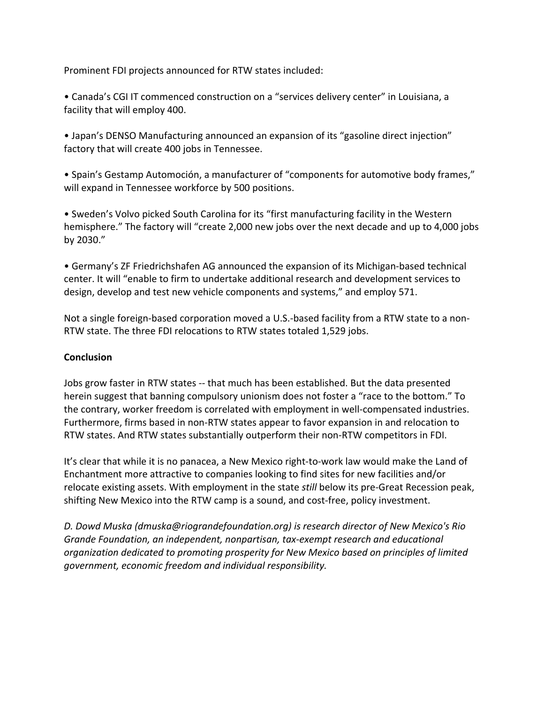Prominent FDI projects announced for RTW states included:

• Canada's CGI IT commenced construction on a "services delivery center" in Louisiana, a facility that will employ 400.

• Japan's DENSO Manufacturing announced an expansion of its "gasoline direct injection" factory that will create 400 jobs in Tennessee.

• Spain's Gestamp Automoción, a manufacturer of "components for automotive body frames," will expand in Tennessee workforce by 500 positions.

• Sweden's Volvo picked South Carolina for its "first manufacturing facility in the Western hemisphere." The factory will "create 2,000 new jobs over the next decade and up to 4,000 jobs by 2030."

• Germany's ZF Friedrichshafen AG announced the expansion of its Michigan-based technical center. It will "enable to firm to undertake additional research and development services to design, develop and test new vehicle components and systems," and employ 571.

Not a single foreign-based corporation moved a U.S.-based facility from a RTW state to a non-RTW state. The three FDI relocations to RTW states totaled 1,529 jobs.

# **Conclusion**

Jobs grow faster in RTW states -- that much has been established. But the data presented herein suggest that banning compulsory unionism does not foster a "race to the bottom." To the contrary, worker freedom is correlated with employment in well-compensated industries. Furthermore, firms based in non-RTW states appear to favor expansion in and relocation to RTW states. And RTW states substantially outperform their non-RTW competitors in FDI.

It's clear that while it is no panacea, a New Mexico right-to-work law would make the Land of Enchantment more attractive to companies looking to find sites for new facilities and/or relocate existing assets. With employment in the state *still* below its pre-Great Recession peak, shifting New Mexico into the RTW camp is a sound, and cost-free, policy investment.

*D. Dowd Muska (dmuska@riograndefoundation.org) is research director of New Mexico's Rio Grande Foundation, an independent, nonpartisan, tax-exempt research and educational organization dedicated to promoting prosperity for New Mexico based on principles of limited government, economic freedom and individual responsibility.*